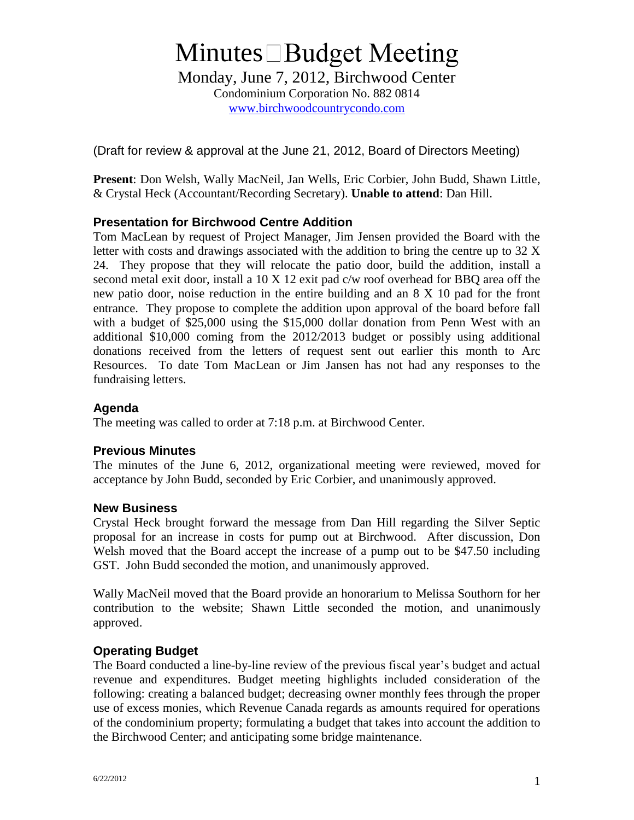# **Minutes** □ Budget Meeting

Monday, June 7, 2012, Birchwood Center Condominium Corporation No. 882 0814 www.birchwoodcountrycondo.com

(Draft for review & approval at the June 21, 2012, Board of Directors Meeting)

**Present**: Don Welsh, Wally MacNeil, Jan Wells, Eric Corbier, John Budd, Shawn Little, & Crystal Heck (Accountant/Recording Secretary). **Unable to attend**: Dan Hill.

## **Presentation for Birchwood Centre Addition**

Tom MacLean by request of Project Manager, Jim Jensen provided the Board with the letter with costs and drawings associated with the addition to bring the centre up to 32 X 24. They propose that they will relocate the patio door, build the addition, install a second metal exit door, install a 10 X 12 exit pad c/w roof overhead for BBQ area off the new patio door, noise reduction in the entire building and an 8 X 10 pad for the front entrance. They propose to complete the addition upon approval of the board before fall with a budget of \$25,000 using the \$15,000 dollar donation from Penn West with an additional \$10,000 coming from the 2012/2013 budget or possibly using additional donations received from the letters of request sent out earlier this month to Arc Resources. To date Tom MacLean or Jim Jansen has not had any responses to the fundraising letters.

## **Agenda**

The meeting was called to order at 7:18 p.m. at Birchwood Center.

## **Previous Minutes**

The minutes of the June 6, 2012, organizational meeting were reviewed, moved for acceptance by John Budd, seconded by Eric Corbier, and unanimously approved.

#### **New Business**

Crystal Heck brought forward the message from Dan Hill regarding the Silver Septic proposal for an increase in costs for pump out at Birchwood. After discussion, Don Welsh moved that the Board accept the increase of a pump out to be \$47.50 including GST. John Budd seconded the motion, and unanimously approved.

Wally MacNeil moved that the Board provide an honorarium to Melissa Southorn for her contribution to the website; Shawn Little seconded the motion, and unanimously approved.

## **Operating Budget**

The Board conducted a line-by-line review of the previous fiscal year's budget and actual revenue and expenditures. Budget meeting highlights included consideration of the following: creating a balanced budget; decreasing owner monthly fees through the proper use of excess monies, which Revenue Canada regards as amounts required for operations of the condominium property; formulating a budget that takes into account the addition to the Birchwood Center; and anticipating some bridge maintenance.